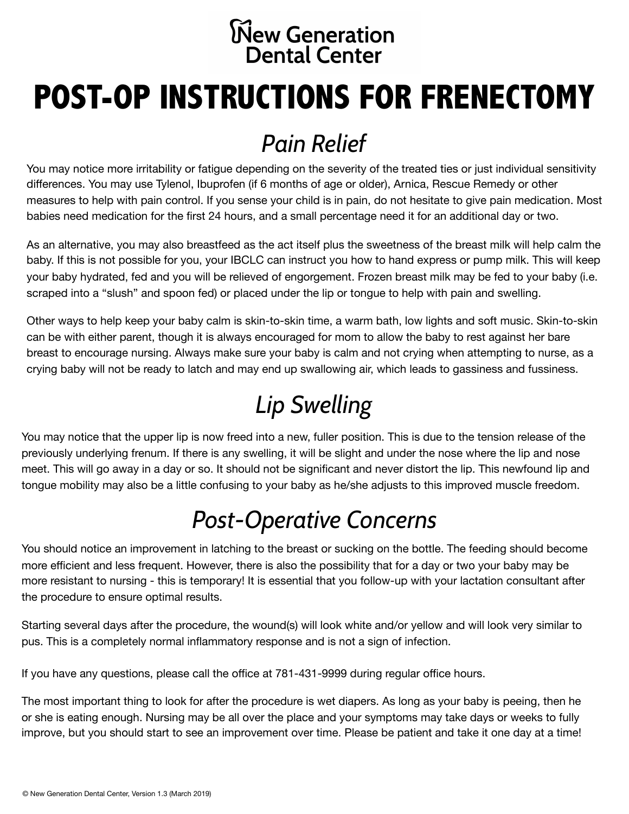#### **New Generation Dental Center**

# **POST-OP INSTRUCTIONS FOR FRENECTOMY**

#### *Pain Relief*

You may notice more irritability or fatigue depending on the severity of the treated ties or just individual sensitivity differences. You may use Tylenol, Ibuprofen (if 6 months of age or older), Arnica, Rescue Remedy or other measures to help with pain control. If you sense your child is in pain, do not hesitate to give pain medication. Most babies need medication for the first 24 hours, and a small percentage need it for an additional day or two.

As an alternative, you may also breastfeed as the act itself plus the sweetness of the breast milk will help calm the baby. If this is not possible for you, your IBCLC can instruct you how to hand express or pump milk. This will keep your baby hydrated, fed and you will be relieved of engorgement. Frozen breast milk may be fed to your baby (i.e. scraped into a "slush" and spoon fed) or placed under the lip or tongue to help with pain and swelling.

Other ways to help keep your baby calm is skin-to-skin time, a warm bath, low lights and soft music. Skin-to-skin can be with either parent, though it is always encouraged for mom to allow the baby to rest against her bare breast to encourage nursing. Always make sure your baby is calm and not crying when attempting to nurse, as a crying baby will not be ready to latch and may end up swallowing air, which leads to gassiness and fussiness.

# *Lip Swelling*

You may notice that the upper lip is now freed into a new, fuller position. This is due to the tension release of the previously underlying frenum. If there is any swelling, it will be slight and under the nose where the lip and nose meet. This will go away in a day or so. It should not be significant and never distort the lip. This newfound lip and tongue mobility may also be a little confusing to your baby as he/she adjusts to this improved muscle freedom.

## *Post-Operative Concerns*

You should notice an improvement in latching to the breast or sucking on the bottle. The feeding should become more efficient and less frequent. However, there is also the possibility that for a day or two your baby may be more resistant to nursing - this is temporary! It is essential that you follow-up with your lactation consultant after the procedure to ensure optimal results.

Starting several days after the procedure, the wound(s) will look white and/or yellow and will look very similar to pus. This is a completely normal inflammatory response and is not a sign of infection.

If you have any questions, please call the office at 781-431-9999 during regular office hours.

The most important thing to look for after the procedure is wet diapers. As long as your baby is peeing, then he or she is eating enough. Nursing may be all over the place and your symptoms may take days or weeks to fully improve, but you should start to see an improvement over time. Please be patient and take it one day at a time!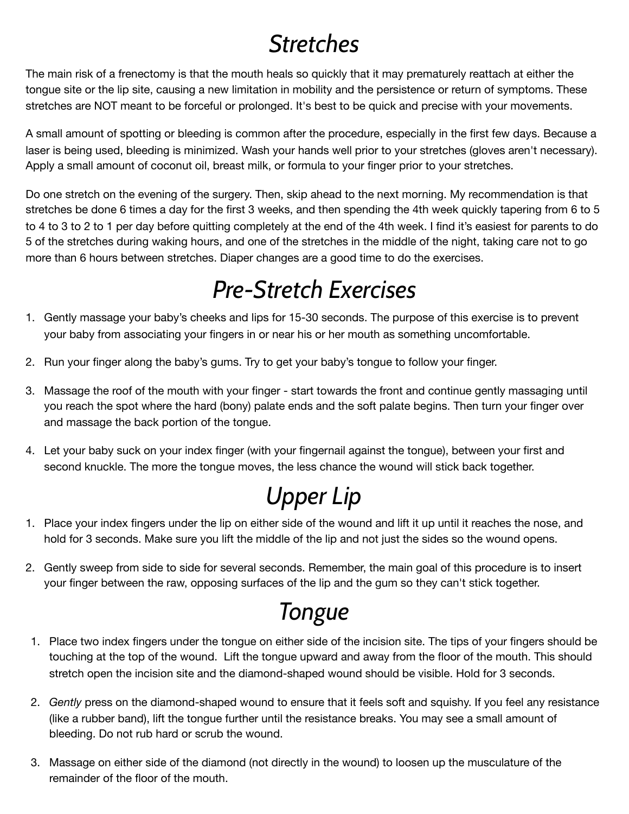#### *Stretches*

The main risk of a frenectomy is that the mouth heals so quickly that it may prematurely reattach at either the tongue site or the lip site, causing a new limitation in mobility and the persistence or return of symptoms. These stretches are NOT meant to be forceful or prolonged. It's best to be quick and precise with your movements.

A small amount of spotting or bleeding is common after the procedure, especially in the first few days. Because a laser is being used, bleeding is minimized. Wash your hands well prior to your stretches (gloves aren't necessary). Apply a small amount of coconut oil, breast milk, or formula to your finger prior to your stretches.

Do one stretch on the evening of the surgery. Then, skip ahead to the next morning. My recommendation is that stretches be done 6 times a day for the first 3 weeks, and then spending the 4th week quickly tapering from 6 to 5 to 4 to 3 to 2 to 1 per day before quitting completely at the end of the 4th week. I find it's easiest for parents to do 5 of the stretches during waking hours, and one of the stretches in the middle of the night, taking care not to go more than 6 hours between stretches. Diaper changes are a good time to do the exercises.

## *Pre-Stretch Exercises*

- 1. Gently massage your baby's cheeks and lips for 15-30 seconds. The purpose of this exercise is to prevent your baby from associating your fingers in or near his or her mouth as something uncomfortable.
- 2. Run your finger along the baby's gums. Try to get your baby's tongue to follow your finger.
- 3. Massage the roof of the mouth with your finger start towards the front and continue gently massaging until you reach the spot where the hard (bony) palate ends and the soft palate begins. Then turn your finger over and massage the back portion of the tongue.
- 4. Let your baby suck on your index finger (with your fingernail against the tongue), between your first and second knuckle. The more the tongue moves, the less chance the wound will stick back together.

#### *Upper Lip*

- 1. Place your index fingers under the lip on either side of the wound and lift it up until it reaches the nose, and hold for 3 seconds. Make sure you lift the middle of the lip and not just the sides so the wound opens.
- 2. Gently sweep from side to side for several seconds. Remember, the main goal of this procedure is to insert your finger between the raw, opposing surfaces of the lip and the gum so they can't stick together.

#### *Tongue*

- 1. Place two index fingers under the tongue on either side of the incision site. The tips of your fingers should be touching at the top of the wound. Lift the tongue upward and away from the floor of the mouth. This should stretch open the incision site and the diamond-shaped wound should be visible. Hold for 3 seconds.
- 2. *Gently* press on the diamond-shaped wound to ensure that it feels soft and squishy. If you feel any resistance (like a rubber band), lift the tongue further until the resistance breaks. You may see a small amount of bleeding. Do not rub hard or scrub the wound.
- 3. Massage on either side of the diamond (not directly in the wound) to loosen up the musculature of the remainder of the floor of the mouth.